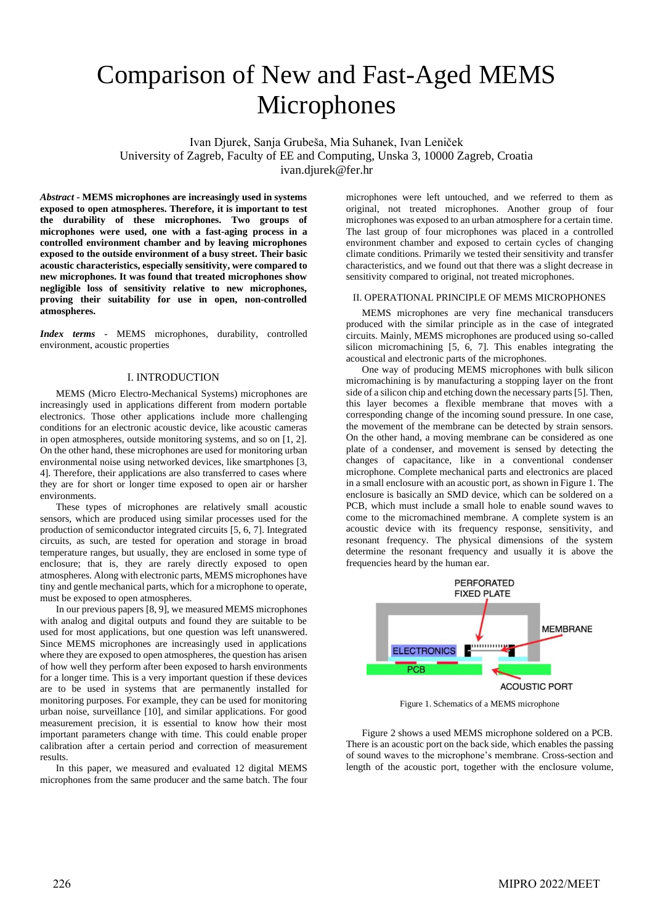# Comparison of New and Fast-Aged MEMS Microphones

Ivan Djurek, Sanja Grubeša, Mia Suhanek, Ivan Leniček University of Zagreb, Faculty of EE and Computing, Unska 3, 10000 Zagreb, Croatia ivan.djurek@fer.hr

*Abstract* **- MEMS microphones are increasingly used in systems exposed to open atmospheres. Therefore, it is important to test the durability of these microphones. Two groups of microphones were used, one with a fast-aging process in a controlled environment chamber and by leaving microphones exposed to the outside environment of a busy street. Their basic acoustic characteristics, especially sensitivity, were compared to new microphones. It was found that treated microphones show negligible loss of sensitivity relative to new microphones, proving their suitability for use in open, non-controlled atmospheres.**

*Index terms* - MEMS microphones, durability, controlled environment, acoustic properties

## I. INTRODUCTION

MEMS (Micro Electro-Mechanical Systems) microphones are increasingly used in applications different from modern portable electronics. Those other applications include more challenging conditions for an electronic acoustic device, like acoustic cameras in open atmospheres, outside monitoring systems, and so on [1, 2]. On the other hand, these microphones are used for monitoring urban environmental noise using networked devices, like smartphones [3, 4]. Therefore, their applications are also transferred to cases where they are for short or longer time exposed to open air or harsher environments.

These types of microphones are relatively small acoustic sensors, which are produced using similar processes used for the production of semiconductor integrated circuits [5, 6, 7]. Integrated circuits, as such, are tested for operation and storage in broad temperature ranges, but usually, they are enclosed in some type of enclosure; that is, they are rarely directly exposed to open atmospheres. Along with electronic parts, MEMS microphones have tiny and gentle mechanical parts, which for a microphone to operate, must be exposed to open atmospheres.

In our previous papers [8, 9], we measured MEMS microphones with analog and digital outputs and found they are suitable to be used for most applications, but one question was left unanswered. Since MEMS microphones are increasingly used in applications where they are exposed to open atmospheres, the question has arisen of how well they perform after been exposed to harsh environments for a longer time. This is a very important question if these devices are to be used in systems that are permanently installed for monitoring purposes. For example, they can be used for monitoring urban noise, surveillance [10], and similar applications. For good measurement precision, it is essential to know how their most important parameters change with time. This could enable proper calibration after a certain period and correction of measurement results.

In this paper, we measured and evaluated 12 digital MEMS microphones from the same producer and the same batch. The four microphones were left untouched, and we referred to them as original, not treated microphones. Another group of four microphones was exposed to an urban atmosphere for a certain time. The last group of four microphones was placed in a controlled environment chamber and exposed to certain cycles of changing climate conditions. Primarily we tested their sensitivity and transfer characteristics, and we found out that there was a slight decrease in sensitivity compared to original, not treated microphones.

#### II. OPERATIONAL PRINCIPLE OF MEMS MICROPHONES

MEMS microphones are very fine mechanical transducers produced with the similar principle as in the case of integrated circuits. Mainly, MEMS microphones are produced using so-called silicon micromachining [5, 6, 7]. This enables integrating the acoustical and electronic parts of the microphones.

One way of producing MEMS microphones with bulk silicon micromachining is by manufacturing a stopping layer on the front side of a silicon chip and etching down the necessary parts [5]. Then, this layer becomes a flexible membrane that moves with a corresponding change of the incoming sound pressure. In one case, the movement of the membrane can be detected by strain sensors. On the other hand, a moving membrane can be considered as one plate of a condenser, and movement is sensed by detecting the changes of capacitance, like in a conventional condenser microphone. Complete mechanical parts and electronics are placed in a small enclosure with an acoustic port, as shown in Figure 1. The enclosure is basically an SMD device, which can be soldered on a PCB, which must include a small hole to enable sound waves to come to the micromachined membrane. A complete system is an acoustic device with its frequency response, sensitivity, and resonant frequency. The physical dimensions of the system determine the resonant frequency and usually it is above the frequencies heard by the human ear.



Figure 1. Schematics of a MEMS microphone

Figure 2 shows a used MEMS microphone soldered on a PCB. There is an acoustic port on the back side, which enables the passing of sound waves to the microphone's membrane. Cross-section and length of the acoustic port, together with the enclosure volume,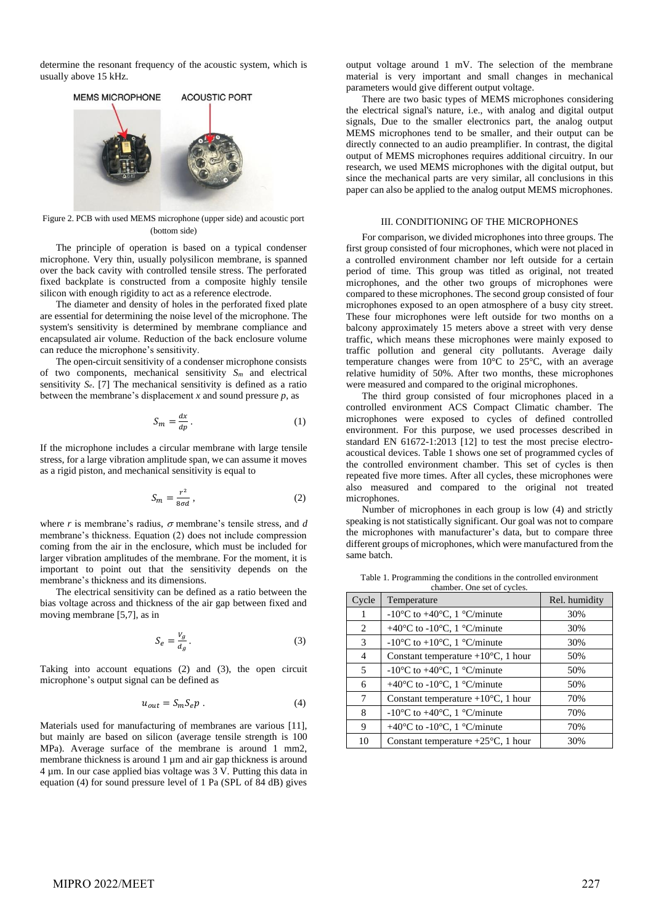determine the resonant frequency of the acoustic system, which is usually above 15 kHz.



Figure 2. PCB with used MEMS microphone (upper side) and acoustic port (bottom side)

The principle of operation is based on a typical condenser microphone. Very thin, usually polysilicon membrane, is spanned over the back cavity with controlled tensile stress. The perforated fixed backplate is constructed from a composite highly tensile silicon with enough rigidity to act as a reference electrode.

The diameter and density of holes in the perforated fixed plate are essential for determining the noise level of the microphone. The system's sensitivity is determined by membrane compliance and encapsulated air volume. Reduction of the back enclosure volume can reduce the microphone's sensitivity.

The open-circuit sensitivity of a condenser microphone consists of two components, mechanical sensitivity *S<sup>m</sup>* and electrical sensitivity *Se*. [7] The mechanical sensitivity is defined as a ratio between the membrane's displacement *x* and sound pressure *p*, as

$$
S_m = \frac{dx}{dp} \,. \tag{1}
$$

If the microphone includes a circular membrane with large tensile stress, for a large vibration amplitude span, we can assume it moves as a rigid piston, and mechanical sensitivity is equal to

$$
S_m = \frac{r^2}{8\sigma d},\tag{2}
$$

where *r* is membrane's radius,  $\sigma$  membrane's tensile stress, and *d* membrane's thickness. Equation (2) does not include compression coming from the air in the enclosure, which must be included for larger vibration amplitudes of the membrane. For the moment, it is important to point out that the sensitivity depends on the membrane's thickness and its dimensions.

The electrical sensitivity can be defined as a ratio between the bias voltage across and thickness of the air gap between fixed and moving membrane [5,7], as in

$$
S_e = \frac{v_g}{d_g}.\tag{3}
$$

Taking into account equations (2) and (3), the open circuit microphone's output signal can be defined as

$$
u_{out} = S_m S_e p \tag{4}
$$

Materials used for manufacturing of membranes are various [11], but mainly are based on silicon (average tensile strength is 100 MPa). Average surface of the membrane is around 1 mm2, membrane thickness is around 1  $\mu$ m and air gap thickness is around  $4 \mu$ m. In our case applied bias voltage was  $3 \text{ V}$ . Putting this data in equation (4) for sound pressure level of 1 Pa (SPL of 84 dB) gives output voltage around 1 mV. The selection of the membrane material is very important and small changes in mechanical parameters would give different output voltage.

There are two basic types of MEMS microphones considering the electrical signal's nature, i.e., with analog and digital output signals, Due to the smaller electronics part, the analog output MEMS microphones tend to be smaller, and their output can be directly connected to an audio preamplifier. In contrast, the digital output of MEMS microphones requires additional circuitry. In our research, we used MEMS microphones with the digital output, but since the mechanical parts are very similar, all conclusions in this paper can also be applied to the analog output MEMS microphones.

## III. CONDITIONING OF THE MICROPHONES

For comparison, we divided microphones into three groups. The first group consisted of four microphones, which were not placed in a controlled environment chamber nor left outside for a certain period of time. This group was titled as original, not treated microphones, and the other two groups of microphones were compared to these microphones. The second group consisted of four microphones exposed to an open atmosphere of a busy city street. These four microphones were left outside for two months on a balcony approximately 15 meters above a street with very dense traffic, which means these microphones were mainly exposed to traffic pollution and general city pollutants. Average daily temperature changes were from  $10^{\circ}$ C to 25 $^{\circ}$ C, with an average relative humidity of 50%. After two months, these microphones were measured and compared to the original microphones.

The third group consisted of four microphones placed in a controlled environment ACS Compact Climatic chamber. The microphones were exposed to cycles of defined controlled environment. For this purpose, we used processes described in standard EN 61672-1:2013 [12] to test the most precise electroacoustical devices. Table 1 shows one set of programmed cycles of the controlled environment chamber. This set of cycles is then repeated five more times. After all cycles, these microphones were also measured and compared to the original not treated microphones.

Number of microphones in each group is low (4) and strictly speaking is not statistically significant. Our goal was not to compare the microphones with manufacturer's data, but to compare three different groups of microphones, which were manufactured from the same batch.

| Cycle | Temperature                                                                          | Rel. humidity |
|-------|--------------------------------------------------------------------------------------|---------------|
| 1     | -10 $\mathrm{^{\circ}C}$ to +40 $\mathrm{^{\circ}C}$ , 1 $\mathrm{^{\circ}C/minute}$ | 30%           |
| 2     | +40 $\rm{^{\circ}C}$ to -10 $\rm{^{\circ}C}$ , 1 $\rm{^{\circ}C/minute}$             | 30%           |
| 3     | -10°C to +10°C, 1 °C/minute                                                          | 30%           |
| 4     | Constant temperature $+10^{\circ}$ C, 1 hour                                         | 50%           |
| 5     | -10 <sup>o</sup> C to +40 <sup>o</sup> C, 1 <sup>o</sup> C/minute                    | 50%           |
| 6     | +40 $\rm{^{\circ}C}$ to -10 $\rm{^{\circ}C}$ , 1 $\rm{^{\circ}C/minute}$             | 50%           |
| 7     | Constant temperature $+10^{\circ}$ C, 1 hour                                         | 70%           |
| 8     | -10°C to +40°C, 1 °C/minute                                                          | 70%           |
| 9     | +40 $\rm{^{\circ}C}$ to -10 $\rm{^{\circ}C}$ , 1 $\rm{^{\circ}C/minute}$             | 70%           |
| 10    | Constant temperature $+25^{\circ}$ C, 1 hour                                         | 30%           |

Table 1. Programming the conditions in the controlled environment chamber. One set of cycles.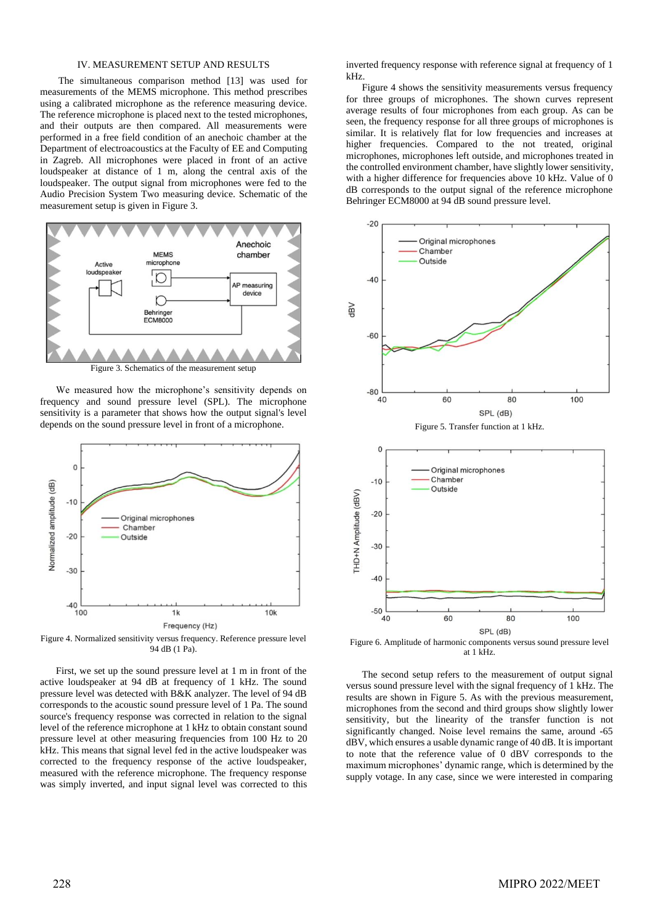## IV. MEASUREMENT SETUP AND RESULTS

The simultaneous comparison method [13] was used for measurements of the MEMS microphone. This method prescribes using a calibrated microphone as the reference measuring device. The reference microphone is placed next to the tested microphones, and their outputs are then compared. All measurements were performed in a free field condition of an anechoic chamber at the Department of electroacoustics at the Faculty of EE and Computing in Zagreb. All microphones were placed in front of an active loudspeaker at distance of 1 m, along the central axis of the loudspeaker. The output signal from microphones were fed to the Audio Precision System Two measuring device. Schematic of the measurement setup is given in Figure 3.



Figure 3. Schematics of the measurement setup

We measured how the microphone's sensitivity depends on frequency and sound pressure level (SPL). The microphone sensitivity is a parameter that shows how the output signal's level depends on the sound pressure level in front of a microphone.



Figure 4. Normalized sensitivity versus frequency. Reference pressure level 94 dB (1 Pa).

First, we set up the sound pressure level at 1 m in front of the active loudspeaker at 94 dB at frequency of 1 kHz. The sound pressure level was detected with B&K analyzer. The level of 94 dB corresponds to the acoustic sound pressure level of 1 Pa. The sound source's frequency response was corrected in relation to the signal level of the reference microphone at 1 kHz to obtain constant sound pressure level at other measuring frequencies from 100 Hz to 20 kHz. This means that signal level fed in the active loudspeaker was corrected to the frequency response of the active loudspeaker, measured with the reference microphone. The frequency response was simply inverted, and input signal level was corrected to this

inverted frequency response with reference signal at frequency of 1 kHz.

Figure 4 shows the sensitivity measurements versus frequency for three groups of microphones. The shown curves represent average results of four microphones from each group. As can be seen, the frequency response for all three groups of microphones is similar. It is relatively flat for low frequencies and increases at higher frequencies. Compared to the not treated, original microphones, microphones left outside, and microphones treated in the controlled environment chamber, have slightly lower sensitivity, with a higher difference for frequencies above 10 kHz. Value of 0 dB corresponds to the output signal of the reference microphone Behringer ECM8000 at 94 dB sound pressure level.



at 1 kHz.

The second setup refers to the measurement of output signal versus sound pressure level with the signal frequency of 1 kHz. The results are shown in Figure 5. As with the previous measurement, microphones from the second and third groups show slightly lower sensitivity, but the linearity of the transfer function is not significantly changed. Noise level remains the same, around -65 dBV, which ensures a usable dynamic range of 40 dB. It is important to note that the reference value of 0 dBV corresponds to the maximum microphones' dynamic range, which is determined by the supply votage. In any case, since we were interested in comparing